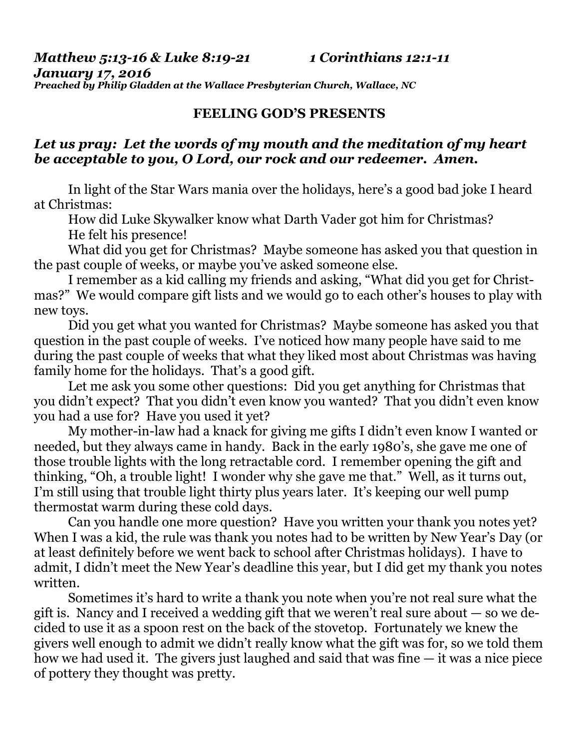*Matthew 5:13-16 & Luke 8:19-21 1 Corinthians 12:1-11* 

*January 17, 2016 Preached by Philip Gladden at the Wallace Presbyterian Church, Wallace, NC* 

## **FEELING GOD'S PRESENTS**

## *Let us pray: Let the words of my mouth and the meditation of my heart be acceptable to you, O Lord, our rock and our redeemer. Amen.*

In light of the Star Wars mania over the holidays, here's a good bad joke I heard at Christmas:

 How did Luke Skywalker know what Darth Vader got him for Christmas? He felt his presence!

 What did you get for Christmas? Maybe someone has asked you that question in the past couple of weeks, or maybe you've asked someone else.

 I remember as a kid calling my friends and asking, "What did you get for Christmas?" We would compare gift lists and we would go to each other's houses to play with new toys.

 Did you get what you wanted for Christmas? Maybe someone has asked you that question in the past couple of weeks. I've noticed how many people have said to me during the past couple of weeks that what they liked most about Christmas was having family home for the holidays. That's a good gift.

 Let me ask you some other questions: Did you get anything for Christmas that you didn't expect? That you didn't even know you wanted? That you didn't even know you had a use for? Have you used it yet?

 My mother-in-law had a knack for giving me gifts I didn't even know I wanted or needed, but they always came in handy. Back in the early 1980's, she gave me one of those trouble lights with the long retractable cord. I remember opening the gift and thinking, "Oh, a trouble light! I wonder why she gave me that." Well, as it turns out, I'm still using that trouble light thirty plus years later. It's keeping our well pump thermostat warm during these cold days.

 Can you handle one more question? Have you written your thank you notes yet? When I was a kid, the rule was thank you notes had to be written by New Year's Day (or at least definitely before we went back to school after Christmas holidays). I have to admit, I didn't meet the New Year's deadline this year, but I did get my thank you notes written.

 Sometimes it's hard to write a thank you note when you're not real sure what the gift is. Nancy and I received a wedding gift that we weren't real sure about — so we decided to use it as a spoon rest on the back of the stovetop. Fortunately we knew the givers well enough to admit we didn't really know what the gift was for, so we told them how we had used it. The givers just laughed and said that was fine  $-$  it was a nice piece of pottery they thought was pretty.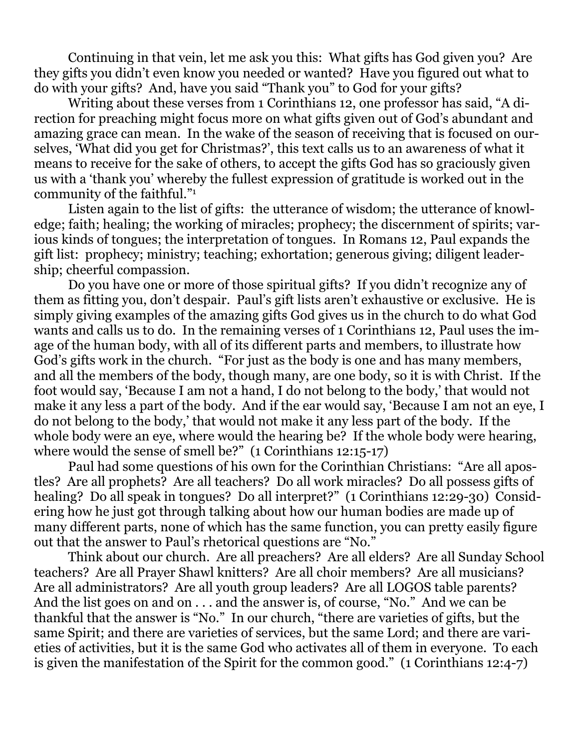Continuing in that vein, let me ask you this: What gifts has God given you? Are they gifts you didn't even know you needed or wanted? Have you figured out what to do with your gifts? And, have you said "Thank you" to God for your gifts?

 Writing about these verses from 1 Corinthians 12, one professor has said, "A direction for preaching might focus more on what gifts given out of God's abundant and amazing grace can mean. In the wake of the season of receiving that is focused on ourselves, 'What did you get for Christmas?', this text calls us to an awareness of what it means to receive for the sake of others, to accept the gifts God has so graciously given us with a 'thank you' whereby the fullest expression of gratitude is worked out in the community of the faithful."1

 Listen again to the list of gifts: the utterance of wisdom; the utterance of knowledge; faith; healing; the working of miracles; prophecy; the discernment of spirits; various kinds of tongues; the interpretation of tongues. In Romans 12, Paul expands the gift list: prophecy; ministry; teaching; exhortation; generous giving; diligent leadership; cheerful compassion.

 Do you have one or more of those spiritual gifts? If you didn't recognize any of them as fitting you, don't despair. Paul's gift lists aren't exhaustive or exclusive. He is simply giving examples of the amazing gifts God gives us in the church to do what God wants and calls us to do. In the remaining verses of 1 Corinthians 12, Paul uses the image of the human body, with all of its different parts and members, to illustrate how God's gifts work in the church. "For just as the body is one and has many members, and all the members of the body, though many, are one body, so it is with Christ. If the foot would say, 'Because I am not a hand, I do not belong to the body,' that would not make it any less a part of the body. And if the ear would say, 'Because I am not an eye, I do not belong to the body,' that would not make it any less part of the body. If the whole body were an eye, where would the hearing be? If the whole body were hearing, where would the sense of smell be?" (1 Corinthians 12:15-17)

 Paul had some questions of his own for the Corinthian Christians: "Are all apostles? Are all prophets? Are all teachers? Do all work miracles? Do all possess gifts of healing? Do all speak in tongues? Do all interpret?" (1 Corinthians 12:29-30) Considering how he just got through talking about how our human bodies are made up of many different parts, none of which has the same function, you can pretty easily figure out that the answer to Paul's rhetorical questions are "No."

 Think about our church. Are all preachers? Are all elders? Are all Sunday School teachers? Are all Prayer Shawl knitters? Are all choir members? Are all musicians? Are all administrators? Are all youth group leaders? Are all LOGOS table parents? And the list goes on and on . . . and the answer is, of course, "No." And we can be thankful that the answer is "No." In our church, "there are varieties of gifts, but the same Spirit; and there are varieties of services, but the same Lord; and there are varieties of activities, but it is the same God who activates all of them in everyone. To each is given the manifestation of the Spirit for the common good." (1 Corinthians 12:4-7)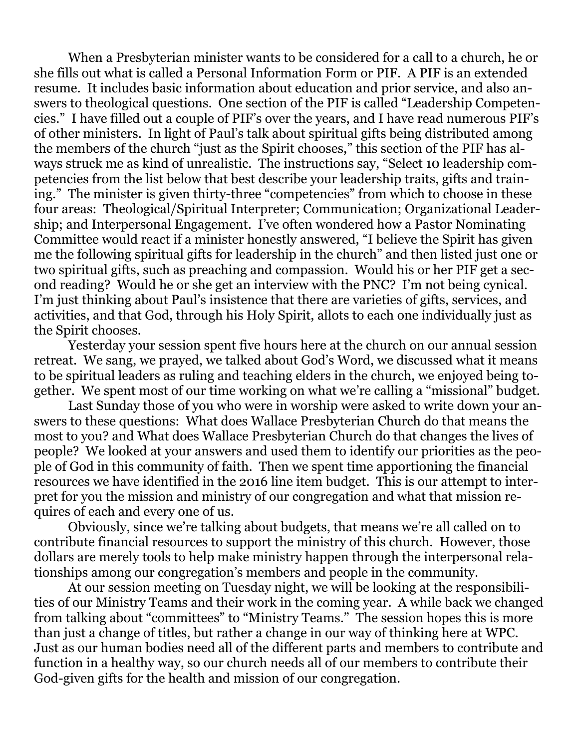When a Presbyterian minister wants to be considered for a call to a church, he or she fills out what is called a Personal Information Form or PIF. A PIF is an extended resume. It includes basic information about education and prior service, and also answers to theological questions. One section of the PIF is called "Leadership Competencies." I have filled out a couple of PIF's over the years, and I have read numerous PIF's of other ministers. In light of Paul's talk about spiritual gifts being distributed among the members of the church "just as the Spirit chooses," this section of the PIF has always struck me as kind of unrealistic. The instructions say, "Select 10 leadership competencies from the list below that best describe your leadership traits, gifts and training." The minister is given thirty-three "competencies" from which to choose in these four areas: Theological/Spiritual Interpreter; Communication; Organizational Leadership; and Interpersonal Engagement. I've often wondered how a Pastor Nominating Committee would react if a minister honestly answered, "I believe the Spirit has given me the following spiritual gifts for leadership in the church" and then listed just one or two spiritual gifts, such as preaching and compassion. Would his or her PIF get a second reading? Would he or she get an interview with the PNC? I'm not being cynical. I'm just thinking about Paul's insistence that there are varieties of gifts, services, and activities, and that God, through his Holy Spirit, allots to each one individually just as the Spirit chooses.

 Yesterday your session spent five hours here at the church on our annual session retreat. We sang, we prayed, we talked about God's Word, we discussed what it means to be spiritual leaders as ruling and teaching elders in the church, we enjoyed being together. We spent most of our time working on what we're calling a "missional" budget.

 Last Sunday those of you who were in worship were asked to write down your answers to these questions: What does Wallace Presbyterian Church do that means the most to you? and What does Wallace Presbyterian Church do that changes the lives of people? We looked at your answers and used them to identify our priorities as the people of God in this community of faith. Then we spent time apportioning the financial resources we have identified in the 2016 line item budget. This is our attempt to interpret for you the mission and ministry of our congregation and what that mission requires of each and every one of us.

 Obviously, since we're talking about budgets, that means we're all called on to contribute financial resources to support the ministry of this church. However, those dollars are merely tools to help make ministry happen through the interpersonal relationships among our congregation's members and people in the community.

 At our session meeting on Tuesday night, we will be looking at the responsibilities of our Ministry Teams and their work in the coming year. A while back we changed from talking about "committees" to "Ministry Teams." The session hopes this is more than just a change of titles, but rather a change in our way of thinking here at WPC. Just as our human bodies need all of the different parts and members to contribute and function in a healthy way, so our church needs all of our members to contribute their God-given gifts for the health and mission of our congregation.